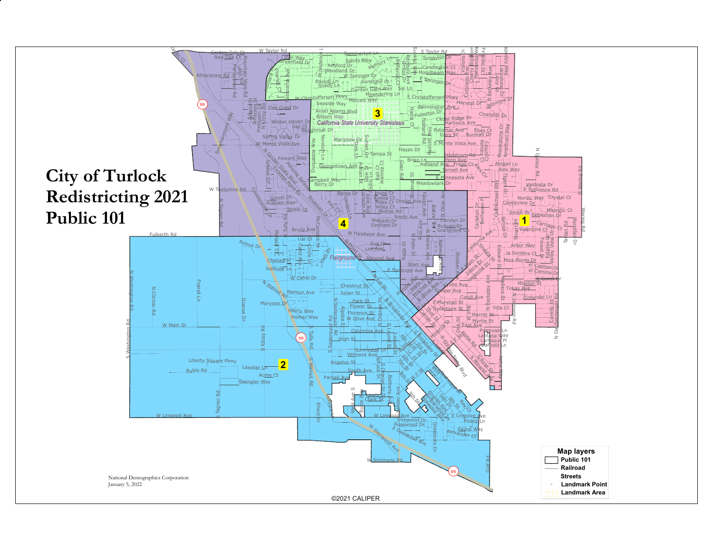